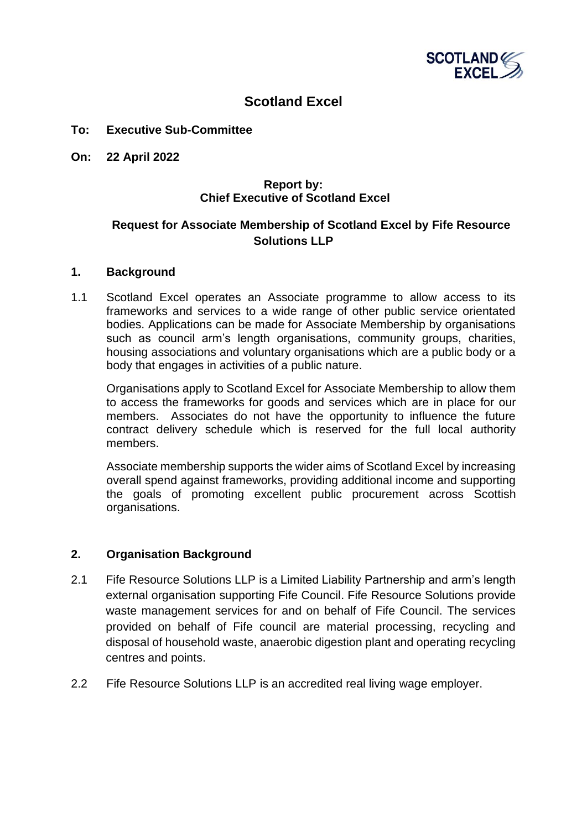

# **Scotland Excel**

#### **To: Executive Sub-Committee**

**On: 22 April 2022**

# **Report by: Chief Executive of Scotland Excel**

# **Request for Associate Membership of Scotland Excel by Fife Resource Solutions LLP**

#### **1. Background**

1.1 Scotland Excel operates an Associate programme to allow access to its frameworks and services to a wide range of other public service orientated bodies. Applications can be made for Associate Membership by organisations such as council arm's length organisations, community groups, charities, housing associations and voluntary organisations which are a public body or a body that engages in activities of a public nature.

Organisations apply to Scotland Excel for Associate Membership to allow them to access the frameworks for goods and services which are in place for our members. Associates do not have the opportunity to influence the future contract delivery schedule which is reserved for the full local authority members.

Associate membership supports the wider aims of Scotland Excel by increasing overall spend against frameworks, providing additional income and supporting the goals of promoting excellent public procurement across Scottish organisations.

### **2. Organisation Background**

- 2.1 Fife Resource Solutions LLP is a Limited Liability Partnership and arm's length external organisation supporting Fife Council. Fife Resource Solutions provide waste management services for and on behalf of Fife Council. The services provided on behalf of Fife council are material processing, recycling and disposal of household waste, anaerobic digestion plant and operating recycling centres and points.
- 2.2 Fife Resource Solutions LLP is an accredited real living wage employer.